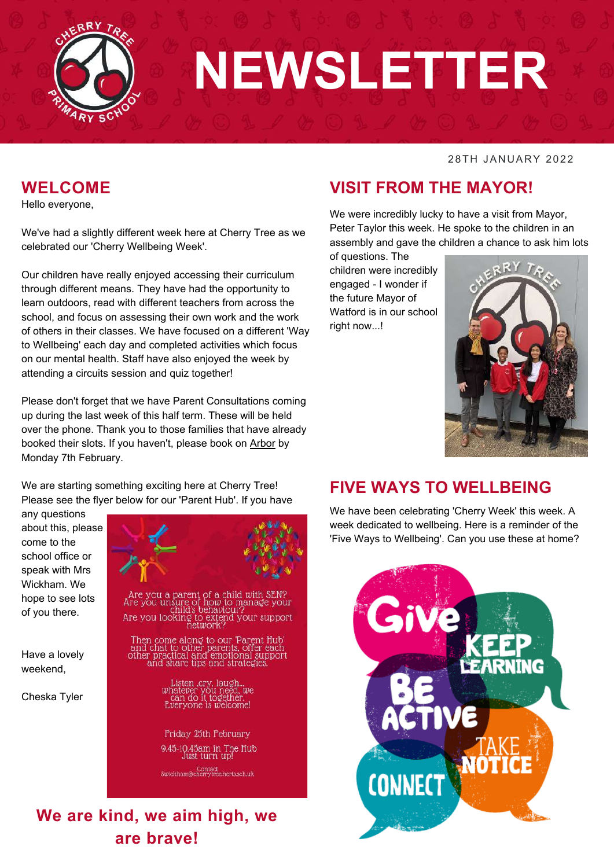

# **NEWSLETTER**

#### 28TH JANUARY 2022

#### **WELCOME**

Hello everyone,

We've had a slightly different week here at Cherry Tree as we celebrated our 'Cherry Wellbeing Week'.

Our children have really enjoyed accessing their curriculum through different means. They have had the opportunity to learn outdoors, read with different teachers from across the school, and focus on assessing their own work and the work of others in their classes. We have focused on a different 'Way to Wellbeing' each day and completed activities which focus on our mental health. Staff have also enjoyed the week by attending a circuits session and quiz together!

Please don't forget that we have Parent Consultations coming up during the last week of this half term. These will be held over the phone. Thank you to those families that have already booked their slots. If you haven't, please book on [Arbor](https://cherry-tree-primary.uk.arbor.sc/) by Monday 7th February.

We are starting something exciting here at Cherry Tree! Please see the flyer below for our 'Parent Hub'. If you have

any questions about this, please come to the school office or speak with Mrs Wickham. We hope to see lots of you there.

Have a lovely weekend,

Cheska Tyler



#### **VISIT FROM THE MAYOR!**

We were incredibly lucky to have a visit from Mayor, Peter Taylor this week. He spoke to the children in an assembly and gave the children a chance to ask him lots

of questions. The children were incredibly engaged - I wonder if the future Mayor of Watford is in our school right now...!



#### **FIVE WAYS TO WELLBEING**

We have been celebrating 'Cherry Week' this week. A week dedicated to wellbeing. Here is a reminder of the 'Five Ways to Wellbeing'. Can you use these at home?

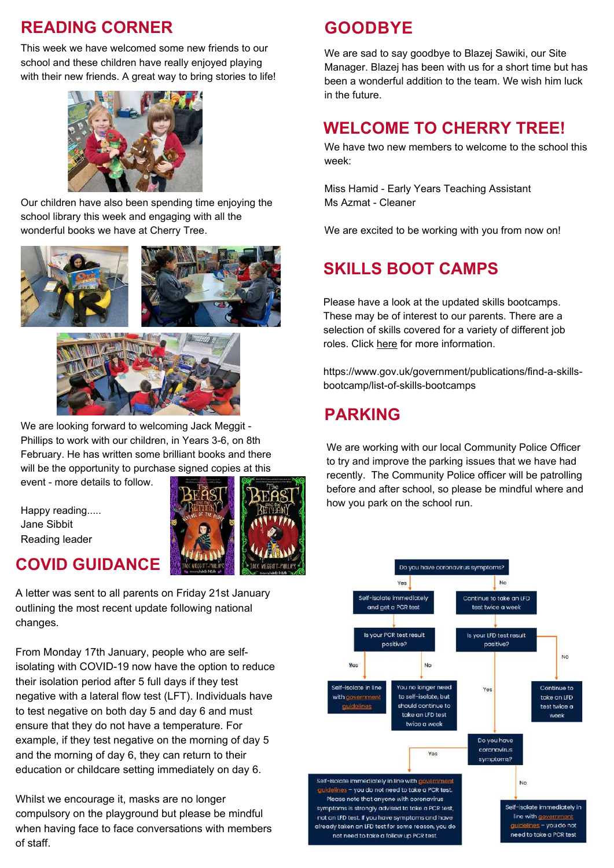#### **READING CORNER**

This week we have welcomed some new friends to our school and these children have really enjoyed playing with their new friends. A great way to bring stories to life!



Our children have also been spending time enjoying the school library this week and engaging with all the wonderful books we have at Cherry Tree.





We are looking forward to welcoming Jack Meggit - Phillips to work with our children, in Years 3-6, on 8th February. He has written some brilliant books and there will be the opportunity to purchase signed copies at this

event - more details to follow.

Happy reading..... Jane Sibbit Reading leader

#### **COVID GUIDANCE**

A letter was sent to all parents on Friday 21st January outlining the most recent update following national changes.

From Monday 17th January, people who are selfisolating with COVID-19 now have the option to reduce their isolation period after 5 full days if they test negative with a lateral flow test (LFT). Individuals have to test negative on both day 5 and day 6 and must ensure that they do not have a temperature. For example, if they test negative on the morning of day 5 and the morning of day 6, they can return to their education or childcare setting immediately on day 6.

Whilst we encourage it, masks are no longer compulsory on the playground but please be mindful when having face to face conversations with members of staff.

## **GOODBYE**

We are sad to say goodbye to Blazej Sawiki, our Site Manager. Blazej has been with us for a short time but has been a wonderful addition to the team. We wish him luck in the future.

#### **WELCOME TO CHERRY TREE!**

We have two new members to welcome to the school this week:

Miss Hamid - Early Years Teaching Assistant Ms Azmat - Cleaner

We are excited to be working with you from now on!

### **SKILLS BOOT CAMPS**

Please have a look at the updated skills bootcamps. These may be of interest to our parents. There are a selection of skills covered for a variety of different job roles. Click [here](https://www.gov.uk/guidance/free-courses-for-jobs) for more information.

https://www.gov.uk/government/publications/find-a-skillsbootcamp/list-of-skills-bootcamps

#### **PARKING**

We are working with our local Community Police Officer to try and improve the parking issues that we have had recently. The Community Police officer will be patrolling before and after school, so please be mindful where and how you park on the school run.

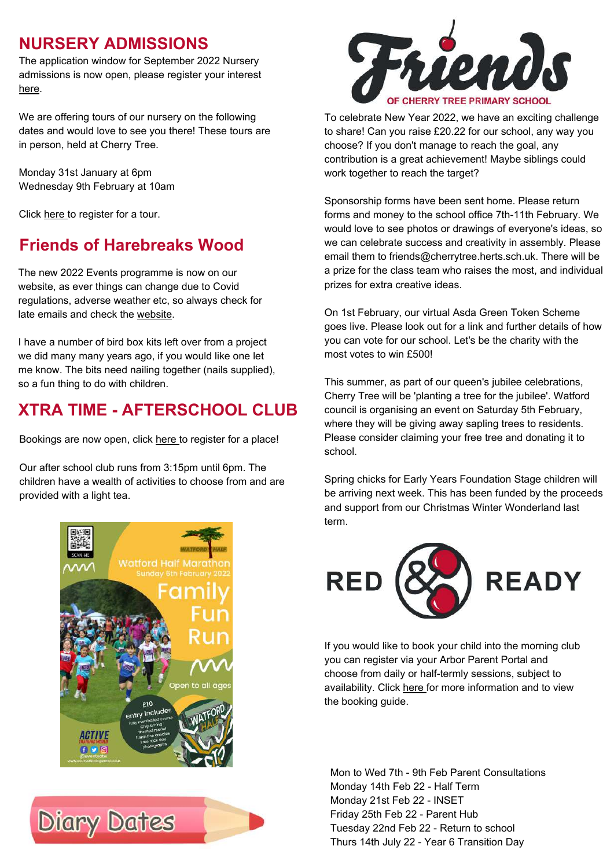#### **NURSERY ADMISSIONS**

The application window for September 2022 Nursery admissions is now open, please register your interest [here.](https://forms.office.com/r/0dupw0CY0E)

We are offering tours of our nursery on the following dates and would love to see you there! These tours are in person, held at Cherry Tree.

Monday 31st January at 6pm Wednesday 9th February at 10am

Click [here](https://forms.office.com/r/rpe3mQpZaP) to register for a tour.

#### **Friends of Harebreaks Wood**

The new 2022 Events programme is now on our website, as ever things can change due to Covid regulations, adverse weather etc, so always check for late emails and check the [website.](http://www.harebreakswood.org.uk/)

I have a number of bird box kits left over from a project we did many many years ago, if you would like one let me know. The bits need nailing together (nails supplied), so a fun thing to do with children.

#### **XTRA TIME - AFTERSCHOOL CLUB**

Bookings are now open, click [here](https://form.jotform.com/213351921534349) to register for a place!

Our after school club runs from 3:15pm until 6pm. The children have a wealth of activities to choose from and are provided with a light tea.







To celebrate New Year 2022, we have an exciting challenge to share! Can you raise £20.22 for our school, any way you choose? If you don't manage to reach the goal, any contribution is a great achievement! Maybe siblings could work together to reach the target?

Sponsorship forms have been sent home. Please return forms and money to the school office 7th-11th February. We would love to see photos or drawings of everyone's ideas, so we can celebrate success and creativity in assembly. Please email them to friends@cherrytree.herts.sch.uk. There will be a prize for the class team who raises the most, and individual prizes for extra creative ideas.

On 1st February, our virtual Asda Green Token Scheme goes live. Please look out for a link and further details of how you can vote for our school. Let's be the charity with the most votes to win £500!

This summer, as part of our queen's jubilee celebrations, Cherry Tree will be 'planting a tree for the jubilee'. Watford council is organising an event on Saturday 5th February, where they will be giving away sapling trees to residents. Please consider claiming your free tree and donating it to school.

Spring chicks for Early Years Foundation Stage children will be arriving next week. This has been funded by the proceeds and support from our Christmas Winter Wonderland last term.



If you would like to book your child into the morning club you can register via your Arbor Parent Portal and choose from daily or half-termly sessions, subject to availability. Click [here](https://www.cherrytree.herts.sch.uk/attachments/download.asp?file=934&type=pdf) for more information and to view the booking guide.

Mon to Wed 7th - 9th Feb Parent Consultations Monday 14th Feb 22 - Half Term Monday 21st Feb 22 - INSET Friday 25th Feb 22 - Parent Hub Tuesday 22nd Feb 22 - Return to school Thurs 14th July 22 - Year 6 Transition Day